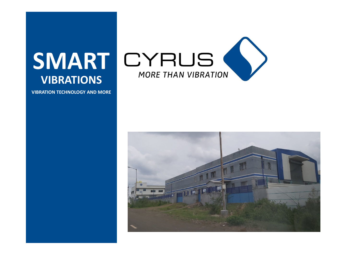

# **VIBRATIONS**

**VIBRATION TECHNOLOGY AND MORE**

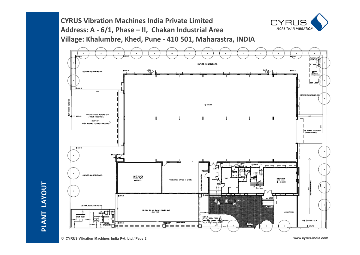**CYRUS Vibration Machines India Private Limited Address: A - 6/1, Phase – II, Chakan Industrial Area Village: Khalumbre, Khed, Pune - 410 501, Maharastra, INDIA** 



**PLAN** $\blacksquare$ 

**LAYOUT** CYRLI

MORE THAN VIBRATION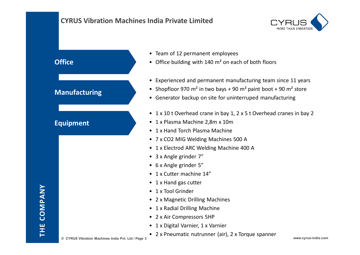## **CYRUS Vibration Machines India Private Limited**



### **Office**

## **Manufacturing**

# **Equipment**

- Team of 12 permanent employees
- Office building with 140 m² on each of both floors
- Experienced and permanent manufacturing team since 11 years
- Shopfloor 970 m<sup>2</sup> in two bays + 90 m<sup>2</sup> paint boot + 90 m<sup>2</sup> store
- Generator backup on site for uninterruped manufacturing
- 1 x 10 t Overhead crane in bay 1, 2 x 5 t Overhead cranes in bay 2
- 1 x Plasma Machine 2,8m x 10m
- 1 x Hand Torch Plasma Machine
- 7 x CO2 MIG Welding Machines 500 A
- 1 x Electrod ARC Welding Machine 400 A
- 3 x Angle grinder 7"
- 6 x Angle grinder 5"
- 1 x Cutter machine 14"
- 1 x Hand gas cutter
- 1 x Tool Grinder
- 2 x Magnetic Drilling Machines
- 1 x Radial Drilling Machine
- 2 x Air Compressors 5HP
- 1 x Digital Varnier, 1 x Varnier
- 2 x Pneumatic nutrunner (air), 2 x Torque spanner

**© CYRUS Vibration Machines India Pvt. Ltd / Page 3 www.cyrus-india.com**